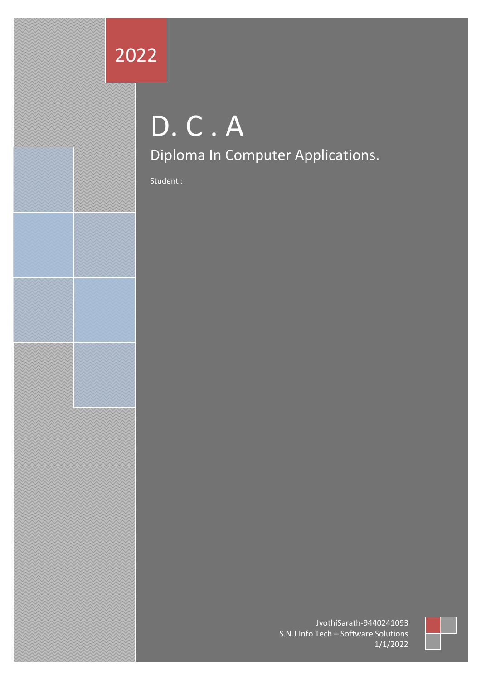## 2022

# D. C . A Diploma In Computer Applications.

Student :

JyothiSarath-9440241093 S.N.J Info Tech – Software Solutions 1/1/2022

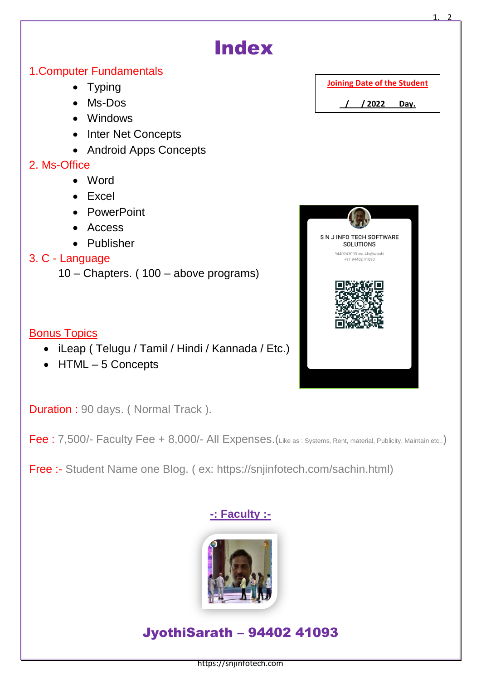

Free :- Student Name one Blog. ( ex: https://snjinfotech.com/sachin.html)

### **-: Faculty :-**



### JyothiSarath – 94402 41093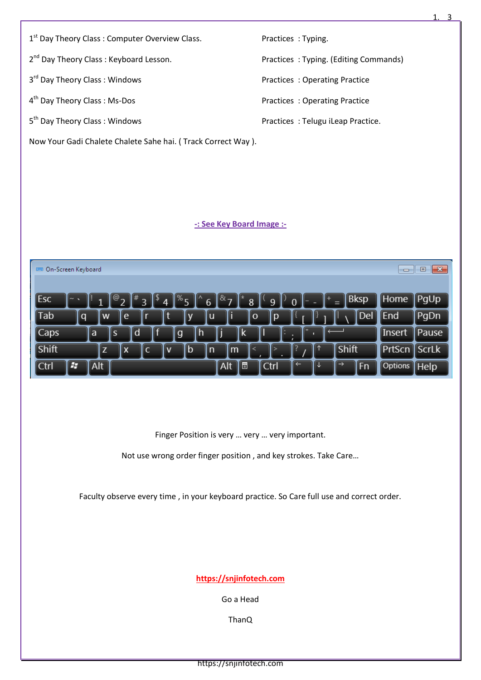| 1 <sup>st</sup> Day Theory Class: Computer Overview Class. | Practices: Typing.                    |
|------------------------------------------------------------|---------------------------------------|
|                                                            |                                       |
| 2 <sup>nd</sup> Day Theory Class: Keyboard Lesson.         | Practices: Typing. (Editing Commands) |
|                                                            |                                       |
| 3 <sup>rd</sup> Day Theory Class: Windows                  | Practices: Operating Practice         |
|                                                            |                                       |
| 4 <sup>th</sup> Day Theory Class: Ms-Dos                   | Practices: Operating Practice         |
|                                                            |                                       |
| 5 <sup>th</sup> Day Theory Class: Windows                  | Practices: Telugu iLeap Practice.     |
|                                                            |                                       |

1. 3

Now Your Gadi Chalete Chalete Sahe hai. ( Track Correct Way ).

#### **-: See Key Board Image :-**

| EE On-Screen Keyboard                                                                        | $\Box$         | $\mathbf{z}$<br>$=$     |
|----------------------------------------------------------------------------------------------|----------------|-------------------------|
|                                                                                              |                |                         |
| Bksp<br><b>I</b> Esc<br>യ<br>¶&ા<br><b>CONTRACT</b><br>70<br>6<br>8<br>п<br>0<br>q<br>Δ<br>= | Home           | PgUp                    |
| li<br>[Del<br><b>Tab</b><br>e<br>l p<br>۱w<br>ΙU<br>ΙO<br>∥q                                 | [End           | PgDn                    |
| $\sqrt{\phantom{a}}$ Caps<br>Ιd<br>l a<br>∥h<br>l S<br>l g<br>ΙK<br>Ш<br>٠                   | ∣Insert        | <b>Pause</b>            |
| Shift<br><b>Shift</b><br>ΙZ<br>IX.<br>∥b<br>lm.<br>C<br>ın<br>۱v                             | ∥PrtScn        | $\sqrt{\mathsf{ScrLk}}$ |
| 69<br>Alt<br>同<br>←<br>Alt<br>$\rightarrow$<br>l Ctrl<br>∥Fn<br>∥Ctrl                        | <b>Options</b> | $\mathbb{I}$ Help       |

Finger Position is very … very … very important.

Not use wrong order finger position , and key strokes. Take Care…

Faculty observe every time , in your keyboard practice. So Care full use and correct order.

**https://snjinfotech.com** 

Go a Head

ThanQ

https://snjinfotech.com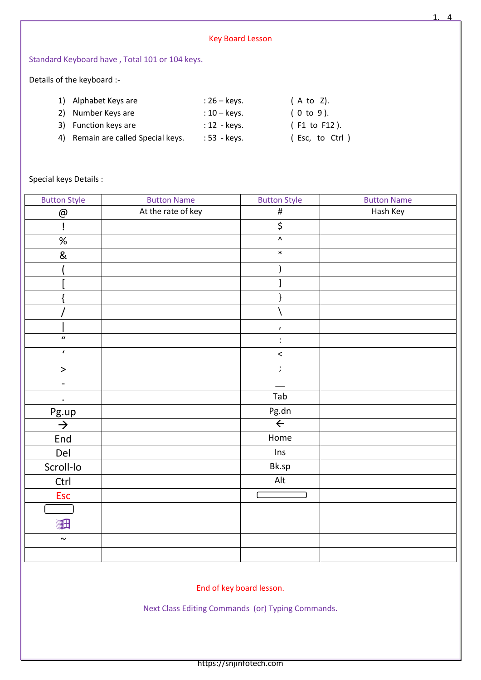|                            |                                                                                              |                                                                               | <b>Key Board Lesson</b> |                                |
|----------------------------|----------------------------------------------------------------------------------------------|-------------------------------------------------------------------------------|-------------------------|--------------------------------|
|                            | Standard Keyboard have, Total 101 or 104 keys.                                               |                                                                               |                         |                                |
| Details of the keyboard :- |                                                                                              |                                                                               |                         |                                |
| 1)<br>2)<br>3)<br>4)       | Alphabet Keys are<br>Number Keys are<br>Function keys are<br>Remain are called Special keys. | $: 26 - \text{keys}.$<br>$:10 - \text{keys}.$<br>: 12 - keys.<br>: 53 - keys. | (A to Z).<br>(0 to 9).  | (F1 to F12).<br>(Esc, to Ctrl) |
| Special keys Details :     |                                                                                              |                                                                               |                         |                                |
| <b>Button Style</b>        | <b>Button Name</b>                                                                           |                                                                               | <b>Button Style</b>     | <b>Button Name</b>             |
| @                          | At the rate of key                                                                           |                                                                               | #                       | Hash Key                       |
|                            |                                                                                              |                                                                               | \$                      |                                |
| %                          |                                                                                              |                                                                               | Λ                       |                                |

1. 4

| ч.                          | Y.                    |  |
|-----------------------------|-----------------------|--|
| $\%$                        | $\boldsymbol{\wedge}$ |  |
| $\&$                        | $\ast$                |  |
|                             |                       |  |
|                             |                       |  |
|                             |                       |  |
|                             |                       |  |
|                             | $\pmb{\cdot}$         |  |
| $\overline{u}$              | $\ddot{\cdot}$        |  |
| $\overline{\mathbf{r}}$     | $\,<$                 |  |
| $\, >$                      | $\ddot{ }$            |  |
| $\qquad \qquad -$           |                       |  |
| $\ddot{\phantom{a}}$        | Tab                   |  |
| $\frac{Pg.up}{\rightarrow}$ | Pg.dn                 |  |
|                             | $\leftarrow$          |  |
| End                         | Home                  |  |
| Del                         | Ins                   |  |
| Scroll-lo                   | Bk.sp                 |  |
| Ctrl                        | Alt                   |  |
| Esc                         |                       |  |
|                             |                       |  |
| <b>ill</b>                  |                       |  |
| $\sim$                      |                       |  |
|                             |                       |  |
|                             |                       |  |

End of key board lesson.

Next Class Editing Commands (or) Typing Commands.

https://snjinfotech.com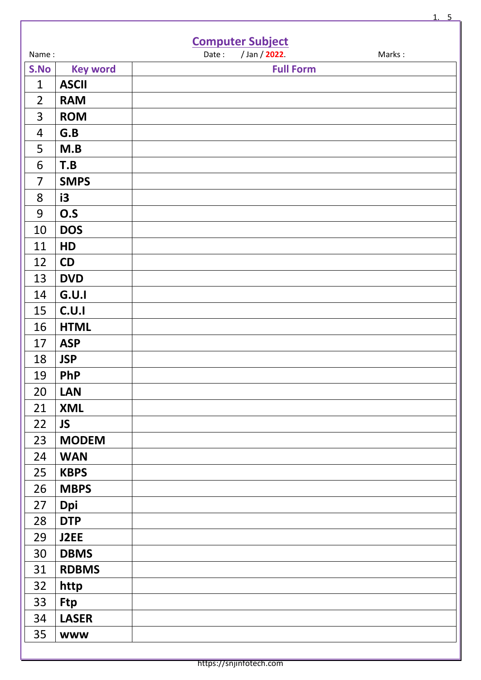|                |                 | <b>Computer Subject</b>          |
|----------------|-----------------|----------------------------------|
| Name:          |                 | / Jan / 2022.<br>Date:<br>Marks: |
| S.No           | <b>Key word</b> | <b>Full Form</b>                 |
| $\mathbf{1}$   | <b>ASCII</b>    |                                  |
| $\overline{2}$ | <b>RAM</b>      |                                  |
| 3              | <b>ROM</b>      |                                  |
| 4              | G.B             |                                  |
| 5              | M.B             |                                  |
| 6              | T.B             |                                  |
| $\overline{7}$ | <b>SMPS</b>     |                                  |
| 8              | i3              |                                  |
| 9              | O.S             |                                  |
| 10             | <b>DOS</b>      |                                  |
| 11             | HD              |                                  |
| 12             | CD              |                                  |
| 13             | <b>DVD</b>      |                                  |
| 14             | G.U.I           |                                  |
| 15             | C.U.I           |                                  |
| 16             | <b>HTML</b>     |                                  |
| 17             | <b>ASP</b>      |                                  |
| 18             | <b>JSP</b>      |                                  |
| 19             | <b>PhP</b>      |                                  |
| 20             | <b>LAN</b>      |                                  |
| 21             | <b>XML</b>      |                                  |
| 22             | <b>JS</b>       |                                  |
| 23             | <b>MODEM</b>    |                                  |
| 24             | <b>WAN</b>      |                                  |
| 25             | <b>KBPS</b>     |                                  |
| 26             | <b>MBPS</b>     |                                  |
| 27             | <b>Dpi</b>      |                                  |
| 28             | <b>DTP</b>      |                                  |
| 29             | J2EE            |                                  |
| 30             | <b>DBMS</b>     |                                  |
| 31             | <b>RDBMS</b>    |                                  |
| 32             | http            |                                  |
| 33             | <b>Ftp</b>      |                                  |
| 34             | <b>LASER</b>    |                                  |
| 35             | <b>WWW</b>      |                                  |

1. 5